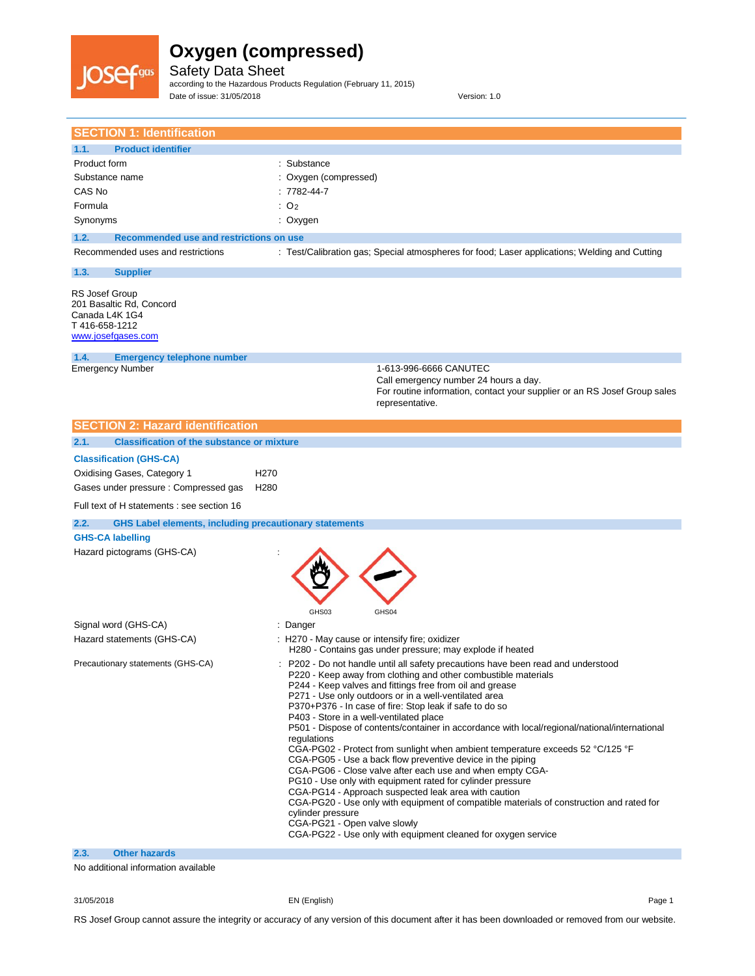

Safety Data Sheet according to the Hazardous Products Regulation (February 11, 2015) Date of issue: 31/05/2018 Version: 1.0

| <b>SECTION 1: Identification</b>                                                                                                                                                                                                                                                                                                      |                                                                                                                                                                                                                                                                                                                                                                                                                                                                                                                                                                                                                                                                                                                                                                                                                                                                                                                                                                                                                                                   |
|---------------------------------------------------------------------------------------------------------------------------------------------------------------------------------------------------------------------------------------------------------------------------------------------------------------------------------------|---------------------------------------------------------------------------------------------------------------------------------------------------------------------------------------------------------------------------------------------------------------------------------------------------------------------------------------------------------------------------------------------------------------------------------------------------------------------------------------------------------------------------------------------------------------------------------------------------------------------------------------------------------------------------------------------------------------------------------------------------------------------------------------------------------------------------------------------------------------------------------------------------------------------------------------------------------------------------------------------------------------------------------------------------|
|                                                                                                                                                                                                                                                                                                                                       |                                                                                                                                                                                                                                                                                                                                                                                                                                                                                                                                                                                                                                                                                                                                                                                                                                                                                                                                                                                                                                                   |
| 1.1.<br><b>Product identifier</b><br>Product form<br>Substance name<br>CAS No<br>Formula<br>Synonyms<br>1.2.<br>Recommended use and restrictions on use<br>Recommended uses and restrictions<br>1.3.<br><b>Supplier</b><br><b>RS Josef Group</b><br>201 Basaltic Rd, Concord<br>Canada L4K 1G4<br>T416-658-1212<br>www.josefgases.com | : Substance<br>: Oxygen (compressed)<br>$: 7782 - 44 - 7$<br>: O <sub>2</sub><br>: Oxygen<br>: Test/Calibration gas; Special atmospheres for food; Laser applications; Welding and Cutting                                                                                                                                                                                                                                                                                                                                                                                                                                                                                                                                                                                                                                                                                                                                                                                                                                                        |
| 1.4.<br><b>Emergency telephone number</b><br><b>Emergency Number</b>                                                                                                                                                                                                                                                                  | 1-613-996-6666 CANUTEC<br>Call emergency number 24 hours a day.<br>For routine information, contact your supplier or an RS Josef Group sales<br>representative.                                                                                                                                                                                                                                                                                                                                                                                                                                                                                                                                                                                                                                                                                                                                                                                                                                                                                   |
| <b>SECTION 2: Hazard identification</b>                                                                                                                                                                                                                                                                                               |                                                                                                                                                                                                                                                                                                                                                                                                                                                                                                                                                                                                                                                                                                                                                                                                                                                                                                                                                                                                                                                   |
| 2.1.<br><b>Classification of the substance or mixture</b>                                                                                                                                                                                                                                                                             |                                                                                                                                                                                                                                                                                                                                                                                                                                                                                                                                                                                                                                                                                                                                                                                                                                                                                                                                                                                                                                                   |
| <b>Classification (GHS-CA)</b><br>Oxidising Gases, Category 1<br>Gases under pressure: Compressed gas<br>Full text of H statements : see section 16<br>2.2.<br><b>GHS Label elements, including precautionary statements</b>                                                                                                          | H <sub>270</sub><br>H <sub>280</sub>                                                                                                                                                                                                                                                                                                                                                                                                                                                                                                                                                                                                                                                                                                                                                                                                                                                                                                                                                                                                              |
| <b>GHS-CA labelling</b><br>Hazard pictograms (GHS-CA)                                                                                                                                                                                                                                                                                 | GHS03<br>GHS04                                                                                                                                                                                                                                                                                                                                                                                                                                                                                                                                                                                                                                                                                                                                                                                                                                                                                                                                                                                                                                    |
| Signal word (GHS-CA)                                                                                                                                                                                                                                                                                                                  | : Danger                                                                                                                                                                                                                                                                                                                                                                                                                                                                                                                                                                                                                                                                                                                                                                                                                                                                                                                                                                                                                                          |
| Hazard statements (GHS-CA)                                                                                                                                                                                                                                                                                                            | : H270 - May cause or intensify fire; oxidizer<br>H280 - Contains gas under pressure; may explode if heated                                                                                                                                                                                                                                                                                                                                                                                                                                                                                                                                                                                                                                                                                                                                                                                                                                                                                                                                       |
| Precautionary statements (GHS-CA)                                                                                                                                                                                                                                                                                                     | P202 - Do not handle until all safety precautions have been read and understood<br>P220 - Keep away from clothing and other combustible materials<br>P244 - Keep valves and fittings free from oil and grease<br>P271 - Use only outdoors or in a well-ventilated area<br>P370+P376 - In case of fire: Stop leak if safe to do so<br>P403 - Store in a well-ventilated place<br>P501 - Dispose of contents/container in accordance with local/regional/national/international<br>regulations<br>CGA-PG02 - Protect from sunlight when ambient temperature exceeds 52 °C/125 °F<br>CGA-PG05 - Use a back flow preventive device in the piping<br>CGA-PG06 - Close valve after each use and when empty CGA-<br>PG10 - Use only with equipment rated for cylinder pressure<br>CGA-PG14 - Approach suspected leak area with caution<br>CGA-PG20 - Use only with equipment of compatible materials of construction and rated for<br>cylinder pressure<br>CGA-PG21 - Open valve slowly<br>CGA-PG22 - Use only with equipment cleaned for oxygen service |
| 2.3.<br><b>Other hazards</b>                                                                                                                                                                                                                                                                                                          |                                                                                                                                                                                                                                                                                                                                                                                                                                                                                                                                                                                                                                                                                                                                                                                                                                                                                                                                                                                                                                                   |

No additional information available

31/05/2018 EN (English) Page 1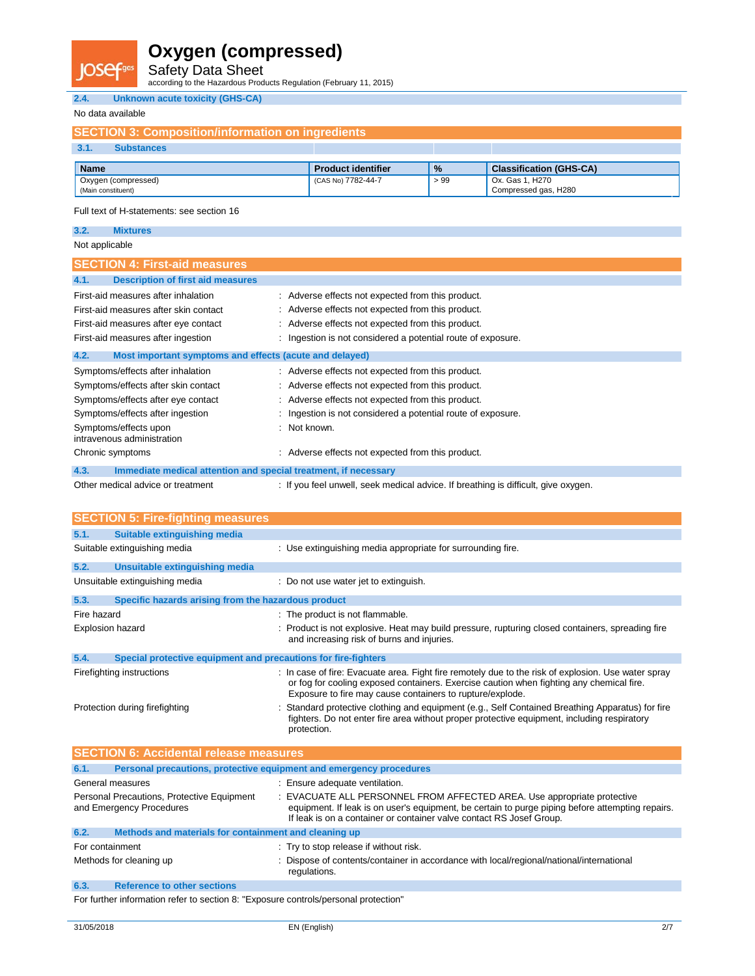Safety Data Sheet

according to the Hazardous Products Regulation (February 11, 2015)

#### **2.4. Unknown acute toxicity (GHS-CA)**

#### No data available

**IOSef<sup>ga</sup>** 

| <b>SECTION 3: Composition/information on ingredients</b> |                           |               |                                         |  |  |
|----------------------------------------------------------|---------------------------|---------------|-----------------------------------------|--|--|
| $-3.1.$<br><b>Substances</b>                             |                           |               |                                         |  |  |
| <b>Name</b>                                              | <b>Product identifier</b> | $\frac{9}{6}$ | <b>Classification (GHS-CA)</b>          |  |  |
| Oxygen (compressed)<br>(Main constituent)                | (CAS No) 7782-44-7        | >99           | Ox. Gas 1, H270<br>Compressed gas, H280 |  |  |
|                                                          |                           |               |                                         |  |  |

Full text of H-statements: see section 16

### **3.2. Mixtures**

#### Not applicable

| <b>SECTION 4: First-aid measures</b>                                    |                                                                                    |
|-------------------------------------------------------------------------|------------------------------------------------------------------------------------|
| <b>Description of first aid measures</b><br>4.1.                        |                                                                                    |
| First-aid measures after inhalation                                     | : Adverse effects not expected from this product.                                  |
| First-aid measures after skin contact                                   | : Adverse effects not expected from this product.                                  |
| First-aid measures after eye contact                                    | : Adverse effects not expected from this product.                                  |
| First-aid measures after ingestion                                      | : Ingestion is not considered a potential route of exposure.                       |
| Most important symptoms and effects (acute and delayed)<br>4.2.         |                                                                                    |
| Symptoms/effects after inhalation                                       | : Adverse effects not expected from this product.                                  |
| Symptoms/effects after skin contact                                     | : Adverse effects not expected from this product.                                  |
| Symptoms/effects after eye contact                                      | : Adverse effects not expected from this product.                                  |
| Symptoms/effects after ingestion                                        | : Ingestion is not considered a potential route of exposure.                       |
| Symptoms/effects upon<br>intravenous administration                     | Not known.                                                                         |
| Chronic symptoms                                                        | Adverse effects not expected from this product.                                    |
| 4.3.<br>Immediate medical attention and special treatment, if necessary |                                                                                    |
| Other medical advice or treatment                                       | : If you feel unwell, seek medical advice. If breathing is difficult, give oxygen. |

|                         | <b>SECTION 5: Fire-fighting measures</b>                       |                                                                                                                                                                                                                                                              |
|-------------------------|----------------------------------------------------------------|--------------------------------------------------------------------------------------------------------------------------------------------------------------------------------------------------------------------------------------------------------------|
| 5.1.                    | Suitable extinguishing media                                   |                                                                                                                                                                                                                                                              |
|                         | Suitable extinguishing media                                   | : Use extinguishing media appropriate for surrounding fire.                                                                                                                                                                                                  |
| 5.2.                    | Unsuitable extinguishing media                                 |                                                                                                                                                                                                                                                              |
|                         | Unsuitable extinguishing media                                 | : Do not use water jet to extinguish.                                                                                                                                                                                                                        |
| 5.3.                    | Specific hazards arising from the hazardous product            |                                                                                                                                                                                                                                                              |
| Fire hazard             |                                                                | : The product is not flammable.                                                                                                                                                                                                                              |
| <b>Explosion hazard</b> |                                                                | : Product is not explosive. Heat may build pressure, rupturing closed containers, spreading fire<br>and increasing risk of burns and injuries.                                                                                                               |
| 5.4.                    | Special protective equipment and precautions for fire-fighters |                                                                                                                                                                                                                                                              |
|                         | Firefighting instructions                                      | : In case of fire: Evacuate area. Fight fire remotely due to the risk of explosion. Use water spray<br>or fog for cooling exposed containers. Exercise caution when fighting any chemical fire.<br>Exposure to fire may cause containers to rupture/explode. |
|                         | Protection during firefighting                                 | : Standard protective clothing and equipment (e.g., Self Contained Breathing Apparatus) for fire<br>fighters. Do not enter fire area without proper protective equipment, including respiratory<br>protection.                                               |

| <b>SECTION 6: Accidental release measures</b>                               |                                                                                                                                                                                                                                                     |  |
|-----------------------------------------------------------------------------|-----------------------------------------------------------------------------------------------------------------------------------------------------------------------------------------------------------------------------------------------------|--|
| Personal precautions, protective equipment and emergency procedures<br>6.1. |                                                                                                                                                                                                                                                     |  |
| General measures                                                            | : Ensure adequate ventilation.                                                                                                                                                                                                                      |  |
| Personal Precautions, Protective Equipment<br>and Emergency Procedures      | : EVACUATE ALL PERSONNEL FROM AFFECTED AREA. Use appropriate protective<br>equipment. If leak is on user's equipment, be certain to purge piping before attempting repairs.<br>If leak is on a container or container valve contact RS Josef Group. |  |
| 6.2.<br>Methods and materials for containment and cleaning up               |                                                                                                                                                                                                                                                     |  |
| For containment                                                             | : Try to stop release if without risk.                                                                                                                                                                                                              |  |
| Methods for cleaning up                                                     | : Dispose of contents/container in accordance with local/regional/national/international<br>regulations.                                                                                                                                            |  |
| 6.3.<br><b>Reference to other sections</b>                                  |                                                                                                                                                                                                                                                     |  |
|                                                                             |                                                                                                                                                                                                                                                     |  |

For further information refer to section 8: "Exposure controls/personal protection"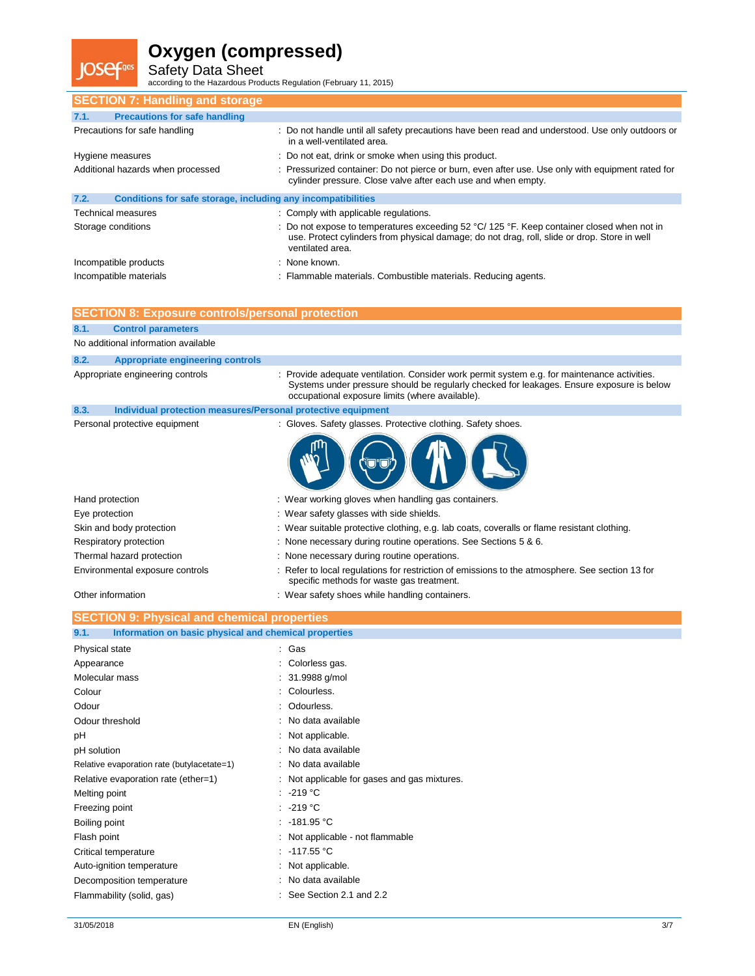**IOSefgas** 

Safety Data Sheet according to the Hazardous Products Regulation (February 11, 2015)

| <b>SECTION 7: Handling and storage</b>                               |                                                                                                                                                                                                                                |
|----------------------------------------------------------------------|--------------------------------------------------------------------------------------------------------------------------------------------------------------------------------------------------------------------------------|
| <b>Precautions for safe handling</b><br>7.1.                         |                                                                                                                                                                                                                                |
| Precautions for safe handling                                        | : Do not handle until all safety precautions have been read and understood. Use only outdoors or<br>in a well-ventilated area.                                                                                                 |
| Hygiene measures                                                     | : Do not eat, drink or smoke when using this product.                                                                                                                                                                          |
| Additional hazards when processed                                    | : Pressurized container: Do not pierce or burn, even after use. Use only with equipment rated for<br>cylinder pressure. Close valve after each use and when empty.                                                             |
| 7.2.<br>Conditions for safe storage, including any incompatibilities |                                                                                                                                                                                                                                |
| <b>Technical measures</b>                                            | : Comply with applicable regulations.                                                                                                                                                                                          |
| Storage conditions                                                   | : Do not expose to temperatures exceeding $52 \degree C/125 \degree F$ . Keep container closed when not in<br>use. Protect cylinders from physical damage; do not drag, roll, slide or drop. Store in well<br>ventilated area. |
| Incompatible products                                                | : None known.                                                                                                                                                                                                                  |
| Incompatible materials                                               | : Flammable materials. Combustible materials. Reducing agents.                                                                                                                                                                 |

| <b>SECTION 8: Exposure controls/personal protection</b>              |                                                                                                                                                                                                                                            |
|----------------------------------------------------------------------|--------------------------------------------------------------------------------------------------------------------------------------------------------------------------------------------------------------------------------------------|
| <b>Control parameters</b><br>8.1.                                    |                                                                                                                                                                                                                                            |
| No additional information available                                  |                                                                                                                                                                                                                                            |
| <b>Appropriate engineering controls</b><br>8.2.                      |                                                                                                                                                                                                                                            |
| Appropriate engineering controls                                     | Provide adequate ventilation. Consider work permit system e.g. for maintenance activities.<br>Systems under pressure should be regularly checked for leakages. Ensure exposure is below<br>occupational exposure limits (where available). |
| 8.3.<br>Individual protection measures/Personal protective equipment |                                                                                                                                                                                                                                            |
| Personal protective equipment                                        | : Gloves. Safety glasses. Protective clothing. Safety shoes.                                                                                                                                                                               |
|                                                                      |                                                                                                                                                                                                                                            |
| Hand protection                                                      | : Wear working gloves when handling gas containers.                                                                                                                                                                                        |
| Eye protection                                                       | : Wear safety glasses with side shields.                                                                                                                                                                                                   |
| Skin and body protection                                             | : Wear suitable protective clothing, e.g. lab coats, coveralls or flame resistant clothing.                                                                                                                                                |
| Respiratory protection                                               | : None necessary during routine operations. See Sections 5 & 6.                                                                                                                                                                            |
| Thermal hazard protection                                            | : None necessary during routine operations.                                                                                                                                                                                                |
| Environmental exposure controls                                      | : Refer to local regulations for restriction of emissions to the atmosphere. See section 13 for<br>specific methods for waste gas treatment.                                                                                               |
| Other information                                                    | : Wear safety shoes while handling containers.                                                                                                                                                                                             |
| <b>SECTION 9: Physical and chemical properties</b>                   |                                                                                                                                                                                                                                            |
| Information on basic physical and chemical properties<br>9.1.        |                                                                                                                                                                                                                                            |
|                                                                      |                                                                                                                                                                                                                                            |
| <b>Physical state</b>                                                | Gas                                                                                                                                                                                                                                        |
| Appearance                                                           | Colorless gas.                                                                                                                                                                                                                             |
| Molecular mass                                                       | 31.9988 g/mol                                                                                                                                                                                                                              |
| Colour                                                               | Colourless.                                                                                                                                                                                                                                |
| Odour                                                                | Odourless.                                                                                                                                                                                                                                 |
| Odour threshold                                                      | No data available                                                                                                                                                                                                                          |
| pH                                                                   | Not applicable.                                                                                                                                                                                                                            |
| pH solution                                                          | No data available                                                                                                                                                                                                                          |
| Relative evaporation rate (butylacetate=1)                           | No data available                                                                                                                                                                                                                          |
| Relative evaporation rate (ether=1)                                  | Not applicable for gases and gas mixtures.                                                                                                                                                                                                 |
| Melting point                                                        | $-219 °C$                                                                                                                                                                                                                                  |
| Freezing point                                                       | $-219 °C$                                                                                                                                                                                                                                  |
| Boiling point                                                        | $-181.95 °C$                                                                                                                                                                                                                               |
| Flash point                                                          | Not applicable - not flammable                                                                                                                                                                                                             |
| Critical temperature                                                 | $-117.55 °C$                                                                                                                                                                                                                               |
| Auto-ignition temperature                                            | Not applicable.                                                                                                                                                                                                                            |
| Decomposition temperature                                            | No data available                                                                                                                                                                                                                          |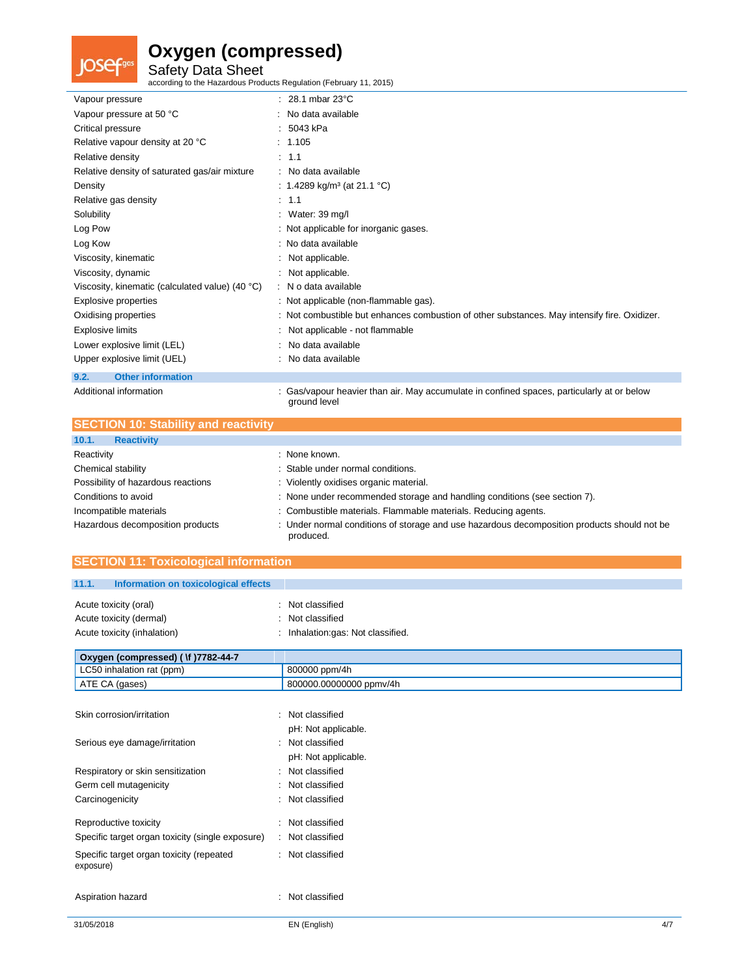# **JOSef**gas

### **Oxygen (compressed)**

Safety Data Sheet according to the Hazardous Products Regulation (February 11, 2015)

| Vapour pressure                                 | $: 28.1$ mbar 23 $^{\circ}$ C                                                                              |
|-------------------------------------------------|------------------------------------------------------------------------------------------------------------|
| Vapour pressure at 50 °C                        | : No data available                                                                                        |
| Critical pressure                               | : 5043 kPa                                                                                                 |
| Relative vapour density at 20 °C                | : 1.105                                                                                                    |
| Relative density                                | : 1.1                                                                                                      |
| Relative density of saturated gas/air mixture   | : No data available                                                                                        |
| Density                                         | : 1.4289 kg/m <sup>3</sup> (at 21.1 °C)                                                                    |
| Relative gas density                            | $\therefore$ 1.1                                                                                           |
| Solubility                                      | : Water: $39 \text{ mg/l}$                                                                                 |
| Log Pow                                         | : Not applicable for inorganic gases.                                                                      |
| Log Kow                                         | : No data available                                                                                        |
| Viscosity, kinematic                            | : Not applicable.                                                                                          |
| Viscosity, dynamic                              | : Not applicable.                                                                                          |
| Viscosity, kinematic (calculated value) (40 °C) | : N o data available                                                                                       |
| Explosive properties                            | : Not applicable (non-flammable gas).                                                                      |
| Oxidising properties                            | : Not combustible but enhances combustion of other substances. May intensify fire. Oxidizer.               |
| <b>Explosive limits</b>                         | Not applicable - not flammable                                                                             |
| Lower explosive limit (LEL)                     | : No data available                                                                                        |
| Upper explosive limit (UEL)                     | No data available                                                                                          |
| <b>Other information</b><br>9.2.                |                                                                                                            |
| Additional information                          | : Gas/vapour heavier than air. May accumulate in confined spaces, particularly at or below<br>ground level |

|            | <b>SECTION 10: Stability and reactivity</b> |             |
|------------|---------------------------------------------|-------------|
| 10.1.      | <b>Reactivity</b>                           |             |
| Reactivity |                                             | None known. |

| Reactivity                         | None known.                                                                                              |
|------------------------------------|----------------------------------------------------------------------------------------------------------|
| Chemical stability                 | Stable under normal conditions.                                                                          |
| Possibility of hazardous reactions | : Violently oxidises organic material.                                                                   |
| Conditions to avoid                | : None under recommended storage and handling conditions (see section 7).                                |
| Incompatible materials             | : Combustible materials. Flammable materials. Reducing agents.                                           |
| Hazardous decomposition products   | : Under normal conditions of storage and use hazardous decomposition products should not be<br>produced. |

#### **SECTION 11: Toxicological information**

| 11.1. | Information on toxicological effects                                            |                                                                     |
|-------|---------------------------------------------------------------------------------|---------------------------------------------------------------------|
|       | Acute toxicity (oral)<br>Acute toxicity (dermal)<br>Acute toxicity (inhalation) | Not classified<br>Not classified<br>Inhalation:gas: Not classified. |
|       | Oxygen (compressed) ( \f )7782-44-7                                             |                                                                     |

| Oxygen (compressed) ( \f )7782-44-7 |                         |
|-------------------------------------|-------------------------|
| LC50 inhalation rat (ppm)           | 800000 ppm/4h           |
| ATE CA (gases)                      | 800000.00000000 ppmy/4h |

| Skin corrosion/irritation                             | : Not classified<br>pH: Not applicable. |
|-------------------------------------------------------|-----------------------------------------|
| Serious eye damage/irritation                         | : Not classified<br>pH: Not applicable. |
| Respiratory or skin sensitization                     | : Not classified                        |
| Germ cell mutagenicity                                | : Not classified                        |
| Carcinogenicity                                       | $\cdot$ Not classified.                 |
| Reproductive toxicity                                 | · Not classified                        |
| Specific target organ toxicity (single exposure)      | : Not classified                        |
| Specific target organ toxicity (repeated<br>exposure) | : Not classified                        |
| Aspiration hazard                                     | · Not classified                        |

 $\mathbb{R}^2$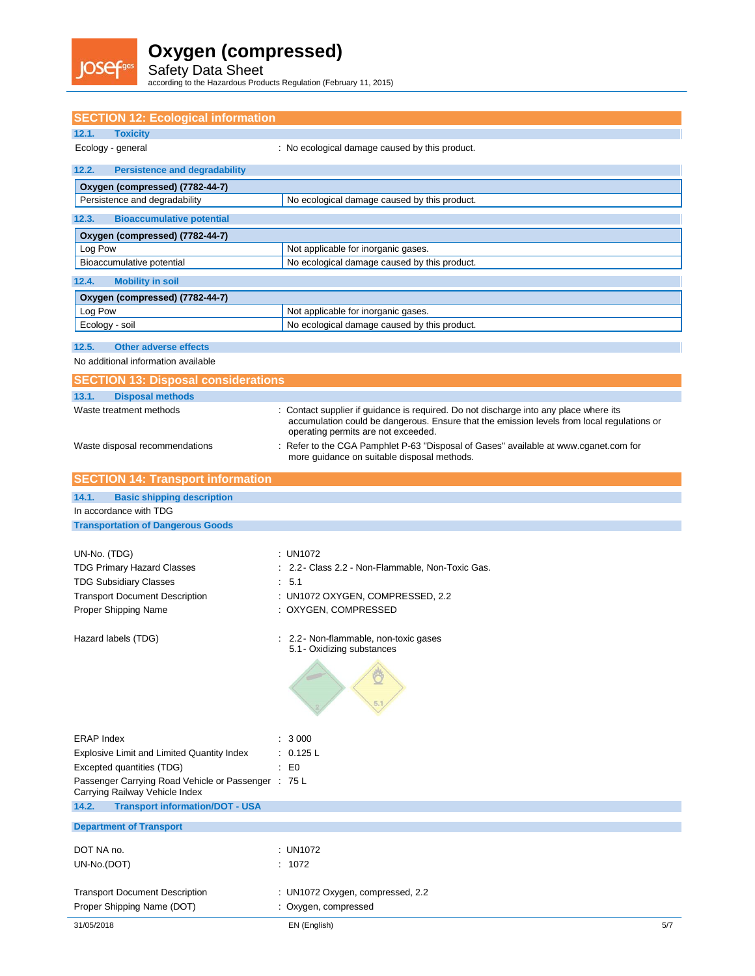

Safety Data Sheet according to the Hazardous Products Regulation (February 11, 2015)

| <b>SECTION 12: Ecological information</b>                                             |                                                                                                                                                                                                                          |
|---------------------------------------------------------------------------------------|--------------------------------------------------------------------------------------------------------------------------------------------------------------------------------------------------------------------------|
| <b>Toxicity</b><br>12.1.                                                              |                                                                                                                                                                                                                          |
| Ecology - general                                                                     | : No ecological damage caused by this product.                                                                                                                                                                           |
| 12.2.<br><b>Persistence and degradability</b>                                         |                                                                                                                                                                                                                          |
| Oxygen (compressed) (7782-44-7)                                                       |                                                                                                                                                                                                                          |
| Persistence and degradability                                                         | No ecological damage caused by this product.                                                                                                                                                                             |
| 12.3.<br><b>Bioaccumulative potential</b>                                             |                                                                                                                                                                                                                          |
| Oxygen (compressed) (7782-44-7)                                                       |                                                                                                                                                                                                                          |
| Log Pow                                                                               | Not applicable for inorganic gases.                                                                                                                                                                                      |
| Bioaccumulative potential                                                             | No ecological damage caused by this product.                                                                                                                                                                             |
| 12.4.<br><b>Mobility in soil</b>                                                      |                                                                                                                                                                                                                          |
| Oxygen (compressed) (7782-44-7)                                                       |                                                                                                                                                                                                                          |
| Log Pow<br>Ecology - soil                                                             | Not applicable for inorganic gases.<br>No ecological damage caused by this product.                                                                                                                                      |
|                                                                                       |                                                                                                                                                                                                                          |
| 12.5.<br><b>Other adverse effects</b>                                                 |                                                                                                                                                                                                                          |
| No additional information available                                                   |                                                                                                                                                                                                                          |
| <b>SECTION 13: Disposal considerations</b>                                            |                                                                                                                                                                                                                          |
| 13.1.<br><b>Disposal methods</b>                                                      |                                                                                                                                                                                                                          |
| Waste treatment methods                                                               | Contact supplier if guidance is required. Do not discharge into any place where its<br>accumulation could be dangerous. Ensure that the emission levels from local regulations or<br>operating permits are not exceeded. |
| Waste disposal recommendations                                                        | Refer to the CGA Pamphlet P-63 "Disposal of Gases" available at www.cganet.com for<br>more quidance on suitable disposal methods.                                                                                        |
| <b>SECTION 14: Transport information</b>                                              |                                                                                                                                                                                                                          |
| <b>Basic shipping description</b><br>14.1.                                            |                                                                                                                                                                                                                          |
| In accordance with TDG                                                                |                                                                                                                                                                                                                          |
| <b>Transportation of Dangerous Goods</b>                                              |                                                                                                                                                                                                                          |
|                                                                                       |                                                                                                                                                                                                                          |
| UN-No. (TDG)                                                                          | : UN1072                                                                                                                                                                                                                 |
| <b>TDG Primary Hazard Classes</b><br><b>TDG Subsidiary Classes</b>                    | 2.2 - Class 2.2 - Non-Flammable, Non-Toxic Gas.<br>: 5.1                                                                                                                                                                 |
| <b>Transport Document Description</b>                                                 | : UN1072 OXYGEN, COMPRESSED, 2.2                                                                                                                                                                                         |
| Proper Shipping Name                                                                  | : OXYGEN, COMPRESSED                                                                                                                                                                                                     |
| Hazard labels (TDG)                                                                   | 2.2 - Non-flammable, non-toxic gases<br>5.1 - Oxidizing substances                                                                                                                                                       |
|                                                                                       |                                                                                                                                                                                                                          |
|                                                                                       |                                                                                                                                                                                                                          |
| <b>ERAP Index</b>                                                                     | : 3000                                                                                                                                                                                                                   |
| Explosive Limit and Limited Quantity Index                                            | : 0.125 L                                                                                                                                                                                                                |
| Excepted quantities (TDG)                                                             | $\mathbf{E}$ $\mathbf{E}$                                                                                                                                                                                                |
| Passenger Carrying Road Vehicle or Passenger : 75 L<br>Carrying Railway Vehicle Index |                                                                                                                                                                                                                          |
| 14.2.<br><b>Transport information/DOT - USA</b>                                       |                                                                                                                                                                                                                          |
| <b>Department of Transport</b>                                                        |                                                                                                                                                                                                                          |
| DOT NA no.                                                                            | : UN1072                                                                                                                                                                                                                 |
| UN-No.(DOT)                                                                           | : 1072                                                                                                                                                                                                                   |
|                                                                                       |                                                                                                                                                                                                                          |
| <b>Transport Document Description</b><br>Proper Shipping Name (DOT)                   | : UN1072 Oxygen, compressed, 2.2<br>: Oxygen, compressed                                                                                                                                                                 |
| 31/05/2018                                                                            | EN (English)<br>5/7                                                                                                                                                                                                      |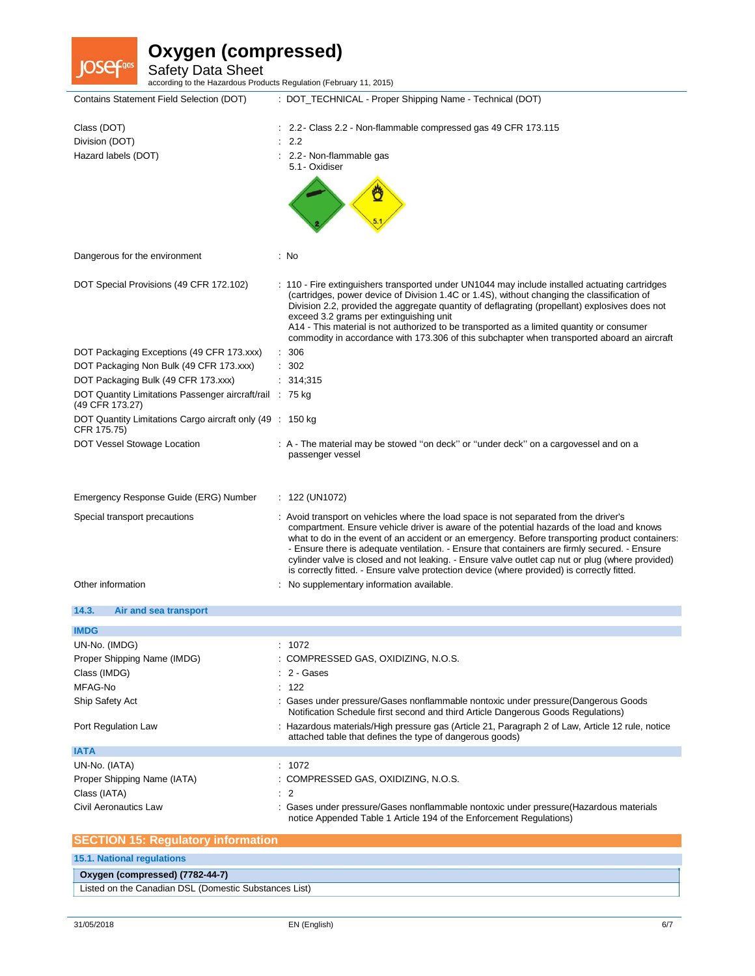**JOSefans** 

Safety Data Sheet according to the Hazardous Products Regulation (February 11, 2015)

| Class (DOT)<br>2.2 - Class 2.2 - Non-flammable compressed gas 49 CFR 173.115<br>2.2<br>Division (DOT)<br>Hazard labels (DOT)<br>2.2 - Non-flammable gas<br>5.1 - Oxidiser<br>Dangerous for the environment<br>: No<br>DOT Special Provisions (49 CFR 172.102)<br>: 110 - Fire extinguishers transported under UN1044 may include installed actuating cartridges<br>(cartridges, power device of Division 1.4C or 1.4S), without changing the classification of<br>Division 2.2, provided the aggregate quantity of deflagrating (propellant) explosives does not<br>exceed 3.2 grams per extinguishing unit<br>A14 - This material is not authorized to be transported as a limited quantity or consumer<br>commodity in accordance with 173.306 of this subchapter when transported aboard an aircraft<br>306<br>DOT Packaging Exceptions (49 CFR 173.xxx)<br>÷<br>302<br>DOT Packaging Non Bulk (49 CFR 173.xxx)<br>DOT Packaging Bulk (49 CFR 173.xxx)<br>314;315<br>DOT Quantity Limitations Passenger aircraft/rail : 75 kg<br>(49 CFR 173.27)<br>DOT Quantity Limitations Cargo aircraft only (49 : 150 kg)<br>CFR 175.75)<br>DOT Vessel Stowage Location<br>: A - The material may be stowed "on deck" or "under deck" on a cargovessel and on a<br>passenger vessel<br>Emergency Response Guide (ERG) Number<br>: $122 \, (UN1072)$<br>: Avoid transport on vehicles where the load space is not separated from the driver's<br>Special transport precautions<br>compartment. Ensure vehicle driver is aware of the potential hazards of the load and knows<br>what to do in the event of an accident or an emergency. Before transporting product containers:<br>- Ensure there is adequate ventilation. - Ensure that containers are firmly secured. - Ensure<br>cylinder valve is closed and not leaking. - Ensure valve outlet cap nut or plug (where provided)<br>is correctly fitted. - Ensure valve protection device (where provided) is correctly fitted.<br>Other information<br>No supplementary information available.<br>14.3.<br>Air and sea transport<br><b>IMDG</b><br>UN-No. (IMDG)<br>1072<br>Proper Shipping Name (IMDG)<br>: COMPRESSED GAS, OXIDIZING, N.O.S.<br>2 - Gases<br>Class (IMDG)<br>122<br>MFAG-No<br>Ship Safety Act<br>Gases under pressure/Gases nonflammable nontoxic under pressure(Dangerous Goods<br>Notification Schedule first second and third Article Dangerous Goods Regulations)<br>Port Regulation Law<br>: Hazardous materials/High pressure gas (Article 21, Paragraph 2 of Law, Article 12 rule, notice<br>attached table that defines the type of dangerous goods)<br><b>IATA</b><br>: 1072<br>UN-No. (IATA)<br>Proper Shipping Name (IATA)<br>: COMPRESSED GAS, OXIDIZING, N.O.S. | Contains Statement Field Selection (DOT) | : DOT_TECHNICAL - Proper Shipping Name - Technical (DOT) |
|---------------------------------------------------------------------------------------------------------------------------------------------------------------------------------------------------------------------------------------------------------------------------------------------------------------------------------------------------------------------------------------------------------------------------------------------------------------------------------------------------------------------------------------------------------------------------------------------------------------------------------------------------------------------------------------------------------------------------------------------------------------------------------------------------------------------------------------------------------------------------------------------------------------------------------------------------------------------------------------------------------------------------------------------------------------------------------------------------------------------------------------------------------------------------------------------------------------------------------------------------------------------------------------------------------------------------------------------------------------------------------------------------------------------------------------------------------------------------------------------------------------------------------------------------------------------------------------------------------------------------------------------------------------------------------------------------------------------------------------------------------------------------------------------------------------------------------------------------------------------------------------------------------------------------------------------------------------------------------------------------------------------------------------------------------------------------------------------------------------------------------------------------------------------------------------------------------------------------------------------------------------------------------------------------------------------------------------------------------------------------------------------------------------------------------------------------------------------------------------------------------------------------------------------------------------------------------------------------------------------------------------------------------------------------------------------------------------------------------------------|------------------------------------------|----------------------------------------------------------|
|                                                                                                                                                                                                                                                                                                                                                                                                                                                                                                                                                                                                                                                                                                                                                                                                                                                                                                                                                                                                                                                                                                                                                                                                                                                                                                                                                                                                                                                                                                                                                                                                                                                                                                                                                                                                                                                                                                                                                                                                                                                                                                                                                                                                                                                                                                                                                                                                                                                                                                                                                                                                                                                                                                                                             |                                          |                                                          |
|                                                                                                                                                                                                                                                                                                                                                                                                                                                                                                                                                                                                                                                                                                                                                                                                                                                                                                                                                                                                                                                                                                                                                                                                                                                                                                                                                                                                                                                                                                                                                                                                                                                                                                                                                                                                                                                                                                                                                                                                                                                                                                                                                                                                                                                                                                                                                                                                                                                                                                                                                                                                                                                                                                                                             |                                          |                                                          |
|                                                                                                                                                                                                                                                                                                                                                                                                                                                                                                                                                                                                                                                                                                                                                                                                                                                                                                                                                                                                                                                                                                                                                                                                                                                                                                                                                                                                                                                                                                                                                                                                                                                                                                                                                                                                                                                                                                                                                                                                                                                                                                                                                                                                                                                                                                                                                                                                                                                                                                                                                                                                                                                                                                                                             |                                          |                                                          |
|                                                                                                                                                                                                                                                                                                                                                                                                                                                                                                                                                                                                                                                                                                                                                                                                                                                                                                                                                                                                                                                                                                                                                                                                                                                                                                                                                                                                                                                                                                                                                                                                                                                                                                                                                                                                                                                                                                                                                                                                                                                                                                                                                                                                                                                                                                                                                                                                                                                                                                                                                                                                                                                                                                                                             |                                          |                                                          |
|                                                                                                                                                                                                                                                                                                                                                                                                                                                                                                                                                                                                                                                                                                                                                                                                                                                                                                                                                                                                                                                                                                                                                                                                                                                                                                                                                                                                                                                                                                                                                                                                                                                                                                                                                                                                                                                                                                                                                                                                                                                                                                                                                                                                                                                                                                                                                                                                                                                                                                                                                                                                                                                                                                                                             |                                          |                                                          |
|                                                                                                                                                                                                                                                                                                                                                                                                                                                                                                                                                                                                                                                                                                                                                                                                                                                                                                                                                                                                                                                                                                                                                                                                                                                                                                                                                                                                                                                                                                                                                                                                                                                                                                                                                                                                                                                                                                                                                                                                                                                                                                                                                                                                                                                                                                                                                                                                                                                                                                                                                                                                                                                                                                                                             |                                          |                                                          |
|                                                                                                                                                                                                                                                                                                                                                                                                                                                                                                                                                                                                                                                                                                                                                                                                                                                                                                                                                                                                                                                                                                                                                                                                                                                                                                                                                                                                                                                                                                                                                                                                                                                                                                                                                                                                                                                                                                                                                                                                                                                                                                                                                                                                                                                                                                                                                                                                                                                                                                                                                                                                                                                                                                                                             |                                          |                                                          |
|                                                                                                                                                                                                                                                                                                                                                                                                                                                                                                                                                                                                                                                                                                                                                                                                                                                                                                                                                                                                                                                                                                                                                                                                                                                                                                                                                                                                                                                                                                                                                                                                                                                                                                                                                                                                                                                                                                                                                                                                                                                                                                                                                                                                                                                                                                                                                                                                                                                                                                                                                                                                                                                                                                                                             |                                          |                                                          |
|                                                                                                                                                                                                                                                                                                                                                                                                                                                                                                                                                                                                                                                                                                                                                                                                                                                                                                                                                                                                                                                                                                                                                                                                                                                                                                                                                                                                                                                                                                                                                                                                                                                                                                                                                                                                                                                                                                                                                                                                                                                                                                                                                                                                                                                                                                                                                                                                                                                                                                                                                                                                                                                                                                                                             |                                          |                                                          |
|                                                                                                                                                                                                                                                                                                                                                                                                                                                                                                                                                                                                                                                                                                                                                                                                                                                                                                                                                                                                                                                                                                                                                                                                                                                                                                                                                                                                                                                                                                                                                                                                                                                                                                                                                                                                                                                                                                                                                                                                                                                                                                                                                                                                                                                                                                                                                                                                                                                                                                                                                                                                                                                                                                                                             |                                          |                                                          |
|                                                                                                                                                                                                                                                                                                                                                                                                                                                                                                                                                                                                                                                                                                                                                                                                                                                                                                                                                                                                                                                                                                                                                                                                                                                                                                                                                                                                                                                                                                                                                                                                                                                                                                                                                                                                                                                                                                                                                                                                                                                                                                                                                                                                                                                                                                                                                                                                                                                                                                                                                                                                                                                                                                                                             |                                          |                                                          |
|                                                                                                                                                                                                                                                                                                                                                                                                                                                                                                                                                                                                                                                                                                                                                                                                                                                                                                                                                                                                                                                                                                                                                                                                                                                                                                                                                                                                                                                                                                                                                                                                                                                                                                                                                                                                                                                                                                                                                                                                                                                                                                                                                                                                                                                                                                                                                                                                                                                                                                                                                                                                                                                                                                                                             |                                          |                                                          |
|                                                                                                                                                                                                                                                                                                                                                                                                                                                                                                                                                                                                                                                                                                                                                                                                                                                                                                                                                                                                                                                                                                                                                                                                                                                                                                                                                                                                                                                                                                                                                                                                                                                                                                                                                                                                                                                                                                                                                                                                                                                                                                                                                                                                                                                                                                                                                                                                                                                                                                                                                                                                                                                                                                                                             |                                          |                                                          |
|                                                                                                                                                                                                                                                                                                                                                                                                                                                                                                                                                                                                                                                                                                                                                                                                                                                                                                                                                                                                                                                                                                                                                                                                                                                                                                                                                                                                                                                                                                                                                                                                                                                                                                                                                                                                                                                                                                                                                                                                                                                                                                                                                                                                                                                                                                                                                                                                                                                                                                                                                                                                                                                                                                                                             |                                          |                                                          |
|                                                                                                                                                                                                                                                                                                                                                                                                                                                                                                                                                                                                                                                                                                                                                                                                                                                                                                                                                                                                                                                                                                                                                                                                                                                                                                                                                                                                                                                                                                                                                                                                                                                                                                                                                                                                                                                                                                                                                                                                                                                                                                                                                                                                                                                                                                                                                                                                                                                                                                                                                                                                                                                                                                                                             |                                          |                                                          |
|                                                                                                                                                                                                                                                                                                                                                                                                                                                                                                                                                                                                                                                                                                                                                                                                                                                                                                                                                                                                                                                                                                                                                                                                                                                                                                                                                                                                                                                                                                                                                                                                                                                                                                                                                                                                                                                                                                                                                                                                                                                                                                                                                                                                                                                                                                                                                                                                                                                                                                                                                                                                                                                                                                                                             |                                          |                                                          |
|                                                                                                                                                                                                                                                                                                                                                                                                                                                                                                                                                                                                                                                                                                                                                                                                                                                                                                                                                                                                                                                                                                                                                                                                                                                                                                                                                                                                                                                                                                                                                                                                                                                                                                                                                                                                                                                                                                                                                                                                                                                                                                                                                                                                                                                                                                                                                                                                                                                                                                                                                                                                                                                                                                                                             |                                          |                                                          |
|                                                                                                                                                                                                                                                                                                                                                                                                                                                                                                                                                                                                                                                                                                                                                                                                                                                                                                                                                                                                                                                                                                                                                                                                                                                                                                                                                                                                                                                                                                                                                                                                                                                                                                                                                                                                                                                                                                                                                                                                                                                                                                                                                                                                                                                                                                                                                                                                                                                                                                                                                                                                                                                                                                                                             |                                          |                                                          |
|                                                                                                                                                                                                                                                                                                                                                                                                                                                                                                                                                                                                                                                                                                                                                                                                                                                                                                                                                                                                                                                                                                                                                                                                                                                                                                                                                                                                                                                                                                                                                                                                                                                                                                                                                                                                                                                                                                                                                                                                                                                                                                                                                                                                                                                                                                                                                                                                                                                                                                                                                                                                                                                                                                                                             |                                          |                                                          |
|                                                                                                                                                                                                                                                                                                                                                                                                                                                                                                                                                                                                                                                                                                                                                                                                                                                                                                                                                                                                                                                                                                                                                                                                                                                                                                                                                                                                                                                                                                                                                                                                                                                                                                                                                                                                                                                                                                                                                                                                                                                                                                                                                                                                                                                                                                                                                                                                                                                                                                                                                                                                                                                                                                                                             |                                          |                                                          |
|                                                                                                                                                                                                                                                                                                                                                                                                                                                                                                                                                                                                                                                                                                                                                                                                                                                                                                                                                                                                                                                                                                                                                                                                                                                                                                                                                                                                                                                                                                                                                                                                                                                                                                                                                                                                                                                                                                                                                                                                                                                                                                                                                                                                                                                                                                                                                                                                                                                                                                                                                                                                                                                                                                                                             |                                          |                                                          |
|                                                                                                                                                                                                                                                                                                                                                                                                                                                                                                                                                                                                                                                                                                                                                                                                                                                                                                                                                                                                                                                                                                                                                                                                                                                                                                                                                                                                                                                                                                                                                                                                                                                                                                                                                                                                                                                                                                                                                                                                                                                                                                                                                                                                                                                                                                                                                                                                                                                                                                                                                                                                                                                                                                                                             |                                          |                                                          |
|                                                                                                                                                                                                                                                                                                                                                                                                                                                                                                                                                                                                                                                                                                                                                                                                                                                                                                                                                                                                                                                                                                                                                                                                                                                                                                                                                                                                                                                                                                                                                                                                                                                                                                                                                                                                                                                                                                                                                                                                                                                                                                                                                                                                                                                                                                                                                                                                                                                                                                                                                                                                                                                                                                                                             |                                          |                                                          |
|                                                                                                                                                                                                                                                                                                                                                                                                                                                                                                                                                                                                                                                                                                                                                                                                                                                                                                                                                                                                                                                                                                                                                                                                                                                                                                                                                                                                                                                                                                                                                                                                                                                                                                                                                                                                                                                                                                                                                                                                                                                                                                                                                                                                                                                                                                                                                                                                                                                                                                                                                                                                                                                                                                                                             |                                          |                                                          |
|                                                                                                                                                                                                                                                                                                                                                                                                                                                                                                                                                                                                                                                                                                                                                                                                                                                                                                                                                                                                                                                                                                                                                                                                                                                                                                                                                                                                                                                                                                                                                                                                                                                                                                                                                                                                                                                                                                                                                                                                                                                                                                                                                                                                                                                                                                                                                                                                                                                                                                                                                                                                                                                                                                                                             |                                          |                                                          |
|                                                                                                                                                                                                                                                                                                                                                                                                                                                                                                                                                                                                                                                                                                                                                                                                                                                                                                                                                                                                                                                                                                                                                                                                                                                                                                                                                                                                                                                                                                                                                                                                                                                                                                                                                                                                                                                                                                                                                                                                                                                                                                                                                                                                                                                                                                                                                                                                                                                                                                                                                                                                                                                                                                                                             |                                          |                                                          |
| $\overline{2}$<br>Class (IATA)                                                                                                                                                                                                                                                                                                                                                                                                                                                                                                                                                                                                                                                                                                                                                                                                                                                                                                                                                                                                                                                                                                                                                                                                                                                                                                                                                                                                                                                                                                                                                                                                                                                                                                                                                                                                                                                                                                                                                                                                                                                                                                                                                                                                                                                                                                                                                                                                                                                                                                                                                                                                                                                                                                              |                                          |                                                          |
| Civil Aeronautics Law<br>Gases under pressure/Gases nonflammable nontoxic under pressure(Hazardous materials<br>notice Appended Table 1 Article 194 of the Enforcement Regulations)                                                                                                                                                                                                                                                                                                                                                                                                                                                                                                                                                                                                                                                                                                                                                                                                                                                                                                                                                                                                                                                                                                                                                                                                                                                                                                                                                                                                                                                                                                                                                                                                                                                                                                                                                                                                                                                                                                                                                                                                                                                                                                                                                                                                                                                                                                                                                                                                                                                                                                                                                         |                                          |                                                          |
| <b>SECTION 15: Regulatory information</b>                                                                                                                                                                                                                                                                                                                                                                                                                                                                                                                                                                                                                                                                                                                                                                                                                                                                                                                                                                                                                                                                                                                                                                                                                                                                                                                                                                                                                                                                                                                                                                                                                                                                                                                                                                                                                                                                                                                                                                                                                                                                                                                                                                                                                                                                                                                                                                                                                                                                                                                                                                                                                                                                                                   |                                          |                                                          |

### **15.1. National regulations**

| Oxygen (compressed) (7782-44-7)                       |  |
|-------------------------------------------------------|--|
| Listed on the Canadian DSL (Domestic Substances List) |  |